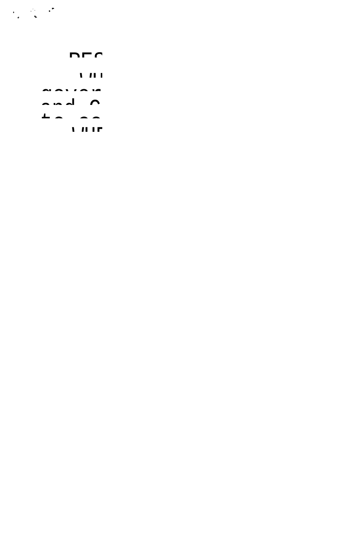$\overline{\phantom{m}}$  $\pm$  +++

 $\begin{array}{c} \n\mathbf{1} & \mathbf{2} \\
\mathbf{3} & \mathbf{4} \\
\mathbf{4} & \mathbf{5} \\
\mathbf{5} & \mathbf{6} \\
\mathbf{6} & \mathbf{7} \\
\mathbf{7} & \mathbf{8} \\
\mathbf{8} & \mathbf{1} \\
\mathbf{1} & \mathbf{1} \\
\mathbf{1} & \mathbf{1} \\
\mathbf{1} & \mathbf{1} \\
\mathbf{1} & \mathbf{1} \\
\mathbf{1} & \mathbf{1} \\
\mathbf{1} & \mathbf{1} \\
\mathbf{1} & \mathbf{1} \\
\mathbf{1} & \mathbf{1} \\
\$ 

 $\label{eq:2} \begin{array}{l} \mathcal{L}_{\mathcal{A}}(\mathcal{A})=\mathcal{L}_{\mathcal{A}}(\mathcal{A})\otimes\mathcal{L}_{\mathcal{A}}(\mathcal{A})\\ \mathcal{A}=\mathcal{A}(\mathcal{A})\otimes\mathcal{A}(\mathcal{A}) \end{array}$ 

 $\mathbf{u}$